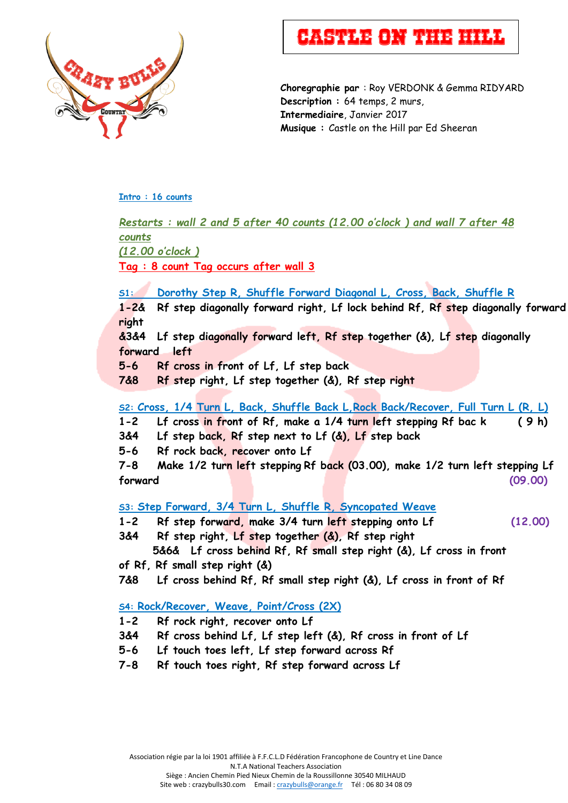

# **Castle On The Hill**

**Choregraphie par** : Roy VERDONK & Gemma RIDYARD **Description :** 64 temps, 2 murs, **Intermediaire**, Janvier 2017 **Musique :** Castle on the Hill par Ed Sheeran

#### **Intro : 16 counts**

*Restarts : wall 2 and 5 after 40 counts (12.00 o'clock ) and wall 7 after 48 counts (12.00 o'clock )* **Tag : 8 count Tag occurs after wall 3 S1: Dorothy Step R, Shuffle Forward Diagonal L, Cross, Back, Shuffle R 1-2& Rf step diagonally forward right, Lf lock behind Rf, Rf step diagonally forward right &3&4 Lf step diagonally forward left, Rf step together (&), Lf step diagonally forward left 5-6 Rf cross in front of Lf, Lf step back 7&8 Rf step right, Lf step together (&), Rf step right S2: Cross, 1/4 Turn L, Back, Shuffle Back L,Rock Back/Recover, Full Turn L (R, L) 1-2 Lf cross in front of Rf, make a 1/4 turn left stepping Rf bac k ( 9 h)**

**3&4 Lf step back, Rf step next to Lf (&), Lf step back**

**5-6 Rf rock back, recover onto Lf**

**7-8 Make 1/2 turn left stepping Rf back (03.00), make 1/2 turn left stepping Lf forward (09.00)**

## **S3: Step Forward, 3/4 Turn L, Shuffle R, Syncopated Weave**

- **1-2 Rf step forward, make 3/4 turn left stepping onto Lf (12.00)**
- **3&4 Rf step right, Lf step together (&), Rf step right**
- **5&6& Lf cross behind Rf, Rf small step right (&), Lf cross in front of Rf, Rf small step right (&)**
- **7&8 Lf cross behind Rf, Rf small step right (&), Lf cross in front of Rf**

## **S4: Rock/Recover, Weave, Point/Cross (2X)**

- **1-2 Rf rock right, recover onto Lf**
- **3&4 Rf cross behind Lf, Lf step left (&), Rf cross in front of Lf**
- **5-6 Lf touch toes left, Lf step forward across Rf**
- **7-8 Rf touch toes right, Rf step forward across Lf**